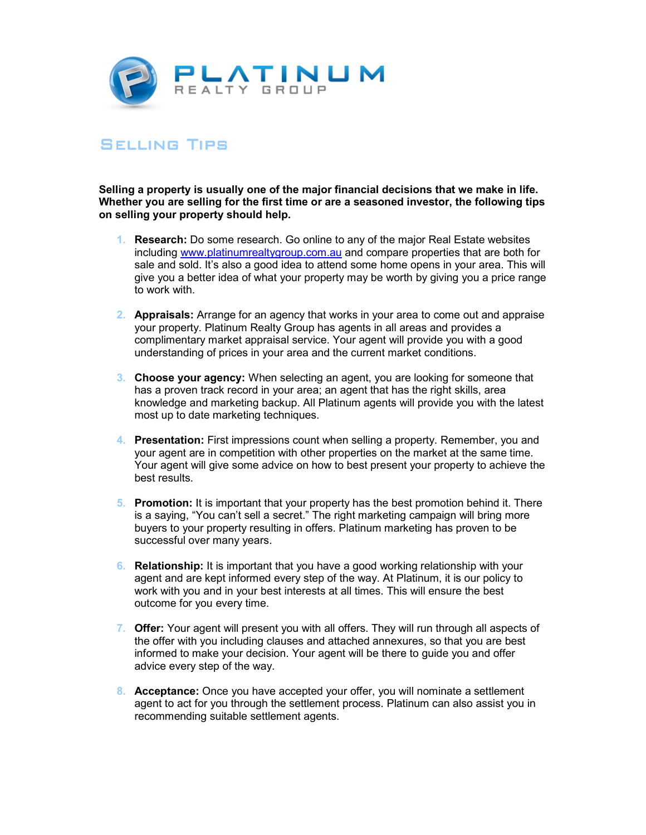

## **SELLING TIPS**

**Selling a property is usually one of the major financial decisions that we make in life. Whether you are selling for the first time or are a seasoned investor, the following tips on selling your property should help.** 

- **1. Research:** Do some research. Go online to any of the major Real Estate websites including www.platinumrealtygroup.com.au and compare properties that are both for sale and sold. It's also a good idea to attend some home opens in your area. This will give you a better idea of what your property may be worth by giving you a price range to work with.
- **2. Appraisals:** Arrange for an agency that works in your area to come out and appraise your property. Platinum Realty Group has agents in all areas and provides a complimentary market appraisal service. Your agent will provide you with a good understanding of prices in your area and the current market conditions.
- **3. Choose your agency:** When selecting an agent, you are looking for someone that has a proven track record in your area; an agent that has the right skills, area knowledge and marketing backup. All Platinum agents will provide you with the latest most up to date marketing techniques.
- **4. Presentation:** First impressions count when selling a property. Remember, you and your agent are in competition with other properties on the market at the same time. Your agent will give some advice on how to best present your property to achieve the best results.
- **5. Promotion:** It is important that your property has the best promotion behind it. There is a saying, "You can't sell a secret." The right marketing campaign will bring more buyers to your property resulting in offers. Platinum marketing has proven to be successful over many years.
- **6. Relationship:** It is important that you have a good working relationship with your agent and are kept informed every step of the way. At Platinum, it is our policy to work with you and in your best interests at all times. This will ensure the best outcome for you every time.
- **7. Offer:** Your agent will present you with all offers. They will run through all aspects of the offer with you including clauses and attached annexures, so that you are best informed to make your decision. Your agent will be there to guide you and offer advice every step of the way.
- **8. Acceptance:** Once you have accepted your offer, you will nominate a settlement agent to act for you through the settlement process. Platinum can also assist you in recommending suitable settlement agents.